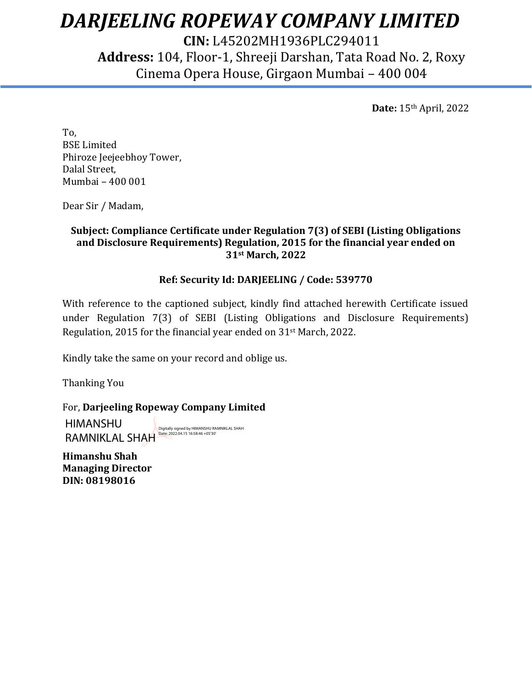# *DARJEELING ROPEWAY COMPANY LIMITED*

**CIN:** L45202MH1936PLC294011 **Address:** 104, Floor-1, Shreeji Darshan, Tata Road No. 2, Roxy Cinema Opera House, Girgaon Mumbai – 400 004

 **Date:** 15th April, 2022

To, BSE Limited Phiroze Jeejeebhoy Tower, Dalal Street, Mumbai – 400 001

Dear Sir / Madam,

## **Subject: Compliance Certificate under Regulation 7(3) of SEBI (Listing Obligations and Disclosure Requirements) Regulation, 2015 for the financial year ended on 31st March, 2022**

## **Ref: Security Id: DARJEELING / Code: 539770**

With reference to the captioned subject, kindly find attached herewith Certificate issued under Regulation 7(3) of SEBI (Listing Obligations and Disclosure Requirements) Regulation, 2015 for the financial year ended on 31st March, 2022.

Kindly take the same on your record and oblige us.

Thanking You

For, **Darjeeling Ropeway Company Limited**

HIMANSHU RAMNIKLAL SHAH Digitally signed by HIMANSHU RAMNIKLAL SHAH Date: 2022.04.15 16:58:46 +05'30'

**Himanshu Shah Managing Director DIN: 08198016**